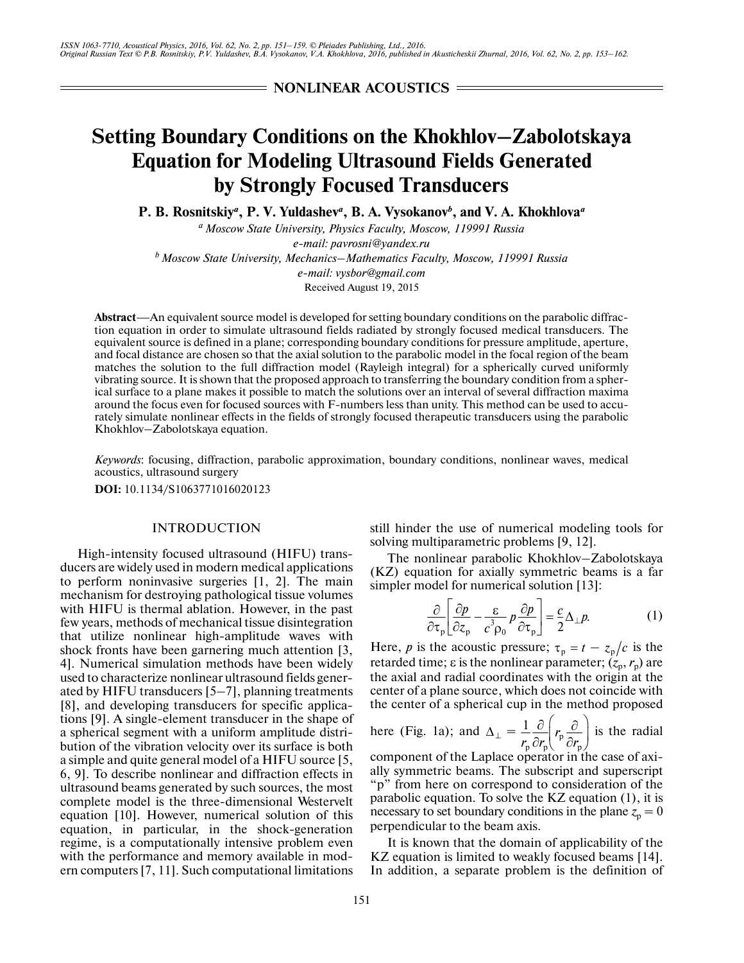**NONLINEAR ACOUSTICS =** 

# **Setting Boundary Conditions on the Khokhlov–Zabolotskaya Equation for Modeling Ultrasound Fields Generated by Strongly Focused Transducers**

**P. B. Rosnitskiy***<sup>a</sup>* **, P. V. Yuldashev***<sup>a</sup>* **, B. A. Vysokanov***<sup>b</sup>* **, and V. A. Khokhlova***<sup>a</sup>*

*a Moscow State University, Physics Faculty, Moscow, 119991 Russia e-mail: pavrosni@yandex.ru b Moscow State University, Mechanics–Mathematics Faculty, Moscow, 119991 Russia e-mail: vysbor@gmail.com*

Received August 19, 2015

**Abstract**—An equivalent source model is developed for setting boundary conditions on the parabolic diffrac tion equation in order to simulate ultrasound fields radiated by strongly focused medical transducers. The equivalent source is defined in a plane; corresponding boundary conditions for pressure amplitude, aperture, and focal distance are chosen so that the axial solution to the parabolic model in the focal region of the beam matches the solution to the full diffraction model (Rayleigh integral) for a spherically curved uniformly vibrating source. It is shown that the proposed approach to transferring the boundary condition from a spher ical surface to a plane makes it possible to match the solutions over an interval of several diffraction maxima around the focus even for focused sources with F-numbers less than unity. This method can be used to accu rately simulate nonlinear effects in the fields of strongly focused therapeutic transducers using the parabolic Khokhlov–Zabolotskaya equation.

*Keywords*: focusing, diffraction, parabolic approximation, boundary conditions, nonlinear waves, medical acoustics, ultrasound surgery

**DOI:** 10.1134/S1063771016020123

## INTRODUCTION

High-intensity focused ultrasound (HIFU) trans ducers are widely used in modern medical applications to perform noninvasive surgeries [1, 2]. The main mechanism for destroying pathological tissue volumes with HIFU is thermal ablation. However, in the past few years, methods of mechanical tissue disintegration that utilize nonlinear high-amplitude waves with shock fronts have been garnering much attention [3, 4]. Numerical simulation methods have been widely used to characterize nonlinear ultrasound fields gener ated by HIFU transducers [5–7], planning treatments [8], and developing transducers for specific applica tions [9]. A single-element transducer in the shape of a spherical segment with a uniform amplitude distri bution of the vibration velocity over its surface is both a simple and quite general model of a HIFU source [5, 6, 9]. To describe nonlinear and diffraction effects in ultrasound beams generated by such sources, the most complete model is the three-dimensional Westervelt equation [10]. However, numerical solution of this equation, in particular, in the shock-generation regime, is a computationally intensive problem even with the performance and memory available in mod ern computers [7, 11]. Such computational limitations still hinder the use of numerical modeling tools for solving multiparametric problems [9, 12].

The nonlinear parabolic Khokhlov–Zabolotskaya (KZ) equation for axially symmetric beams is a far simpler model for numerical solution [13]:

$$
\frac{\partial}{\partial \tau_{\mathbf{p}}} \left[ \frac{\partial p}{\partial z_{\mathbf{p}}} - \frac{\varepsilon}{c^3 \rho_0} p \frac{\partial p}{\partial \tau_{\mathbf{p}}} \right] = \frac{c}{2} \Delta_{\perp} p. \tag{1}
$$

Here, *p* is the acoustic pressure;  $\tau_p = t - z_p/c$  is the retarded time; ε is the nonlinear parameter;  $(z_p, r_p)$  are the axial and radial coordinates with the origin at the center of a plane source, which does not coincide with the center of a spherical cup in the method proposed

here (Fig. 1a); and 
$$
\Delta_{\perp} = \frac{1}{r_p} \frac{\partial}{\partial r_p} \left( r_p \frac{\partial}{\partial r_p} \right)
$$
 is the radial

component of the Laplace operator in the case of axi ally symmetric beams. The subscript and superscript "p" from here on correspond to consideration of the parabolic equation. To solve the KZ equation (1), it is necessary to set boundary conditions in the plane  $z_p = 0$ perpendicular to the beam axis.

It is known that the domain of applicability of the KZ equation is limited to weakly focused beams [14]. In addition, a separate problem is the definition of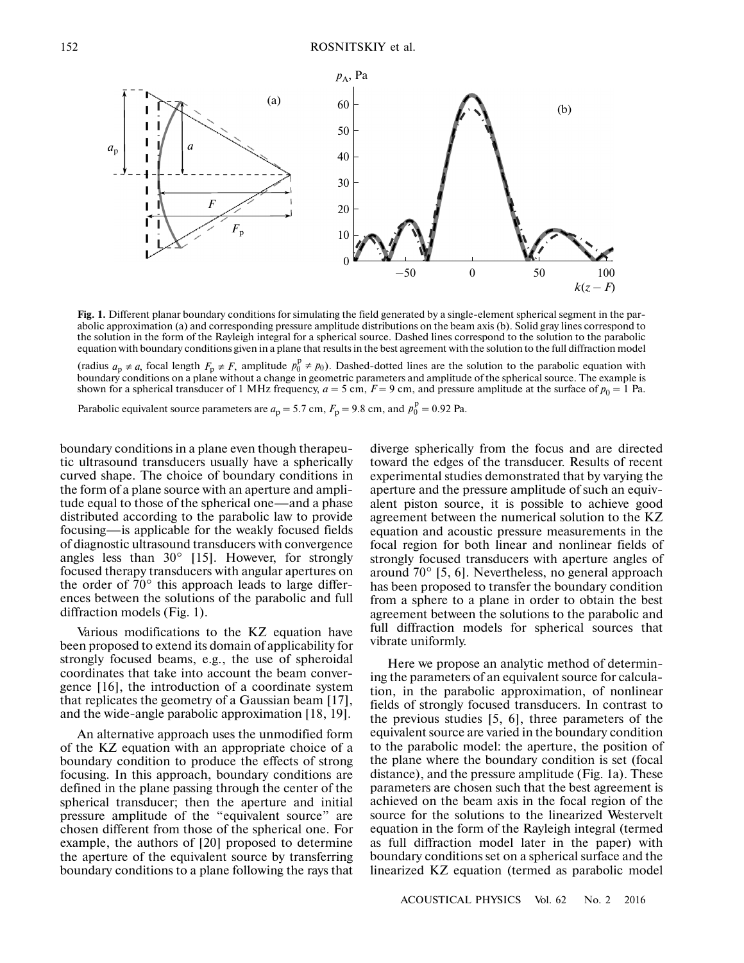

Fig. 1. Different planar boundary conditions for simulating the field generated by a single-element spherical segment in the parabolic approximation (a) and corresponding pressure amplitude distributions on the beam axis (b). Solid gray lines correspond to the solution in the form of the Rayleigh integral for a spherical source. Dashed lines correspond to the solution to the parabolic equation with boundary conditions given in a plane that results in the best agreement with the solution to the full diffraction model

(radius  $a_p \neq a$ , focal length  $F_p \neq F$ , amplitude  $p_0^0 \neq p_0$ ). Dashed-dotted lines are the solution to the parabolic equation with boundary conditions on a plane without a change in geometric parameters and amplitude of the spherical source. The example is shown for a spherical transducer of 1 MHz frequency,  $a = 5$  cm,  $F = 9$  cm, and pressure amplitude at the surface of  $p_0 = 1$  Pa.  $a_p \neq a$ , focal length  $F_p \neq F$ , amplitude  $p_0^p \neq p_0$ 

Parabolic equivalent source parameters are  $a_p = 5.7$  cm,  $F_p = 9.8$  cm, and  $p_0^p = 0.92$  Pa.

boundary conditions in a plane even though therapeu tic ultrasound transducers usually have a spherically curved shape. The choice of boundary conditions in the form of a plane source with an aperture and ampli tude equal to those of the spherical one—and a phase distributed according to the parabolic law to provide focusing—is applicable for the weakly focused fields of diagnostic ultrasound transducers with convergence angles less than 30° [15]. However, for strongly focused therapy transducers with angular apertures on the order of 70° this approach leads to large differ ences between the solutions of the parabolic and full diffraction models (Fig. 1).

Various modifications to the KZ equation have been proposed to extend its domain of applicability for strongly focused beams, e.g., the use of spheroidal coordinates that take into account the beam conver gence [16], the introduction of a coordinate system that replicates the geometry of a Gaussian beam [17], and the wide-angle parabolic approximation [18, 19].

An alternative approach uses the unmodified form of the KZ equation with an appropriate choice of a boundary condition to produce the effects of strong focusing. In this approach, boundary conditions are defined in the plane passing through the center of the spherical transducer; then the aperture and initial pressure amplitude of the "equivalent source" are chosen different from those of the spherical one. For example, the authors of [20] proposed to determine the aperture of the equivalent source by transferring boundary conditions to a plane following the rays that diverge spherically from the focus and are directed toward the edges of the transducer. Results of recent experimental studies demonstrated that by varying the aperture and the pressure amplitude of such an equiv alent piston source, it is possible to achieve good agreement between the numerical solution to the KZ equation and acoustic pressure measurements in the focal region for both linear and nonlinear fields of strongly focused transducers with aperture angles of around 70° [5, 6]. Nevertheless, no general approach has been proposed to transfer the boundary condition from a sphere to a plane in order to obtain the best agreement between the solutions to the parabolic and full diffraction models for spherical sources that vibrate uniformly.

Here we propose an analytic method of determin ing the parameters of an equivalent source for calcula tion, in the parabolic approximation, of nonlinear fields of strongly focused transducers. In contrast to the previous studies [5, 6], three parameters of the equivalent source are varied in the boundary condition to the parabolic model: the aperture, the position of the plane where the boundary condition is set (focal distance), and the pressure amplitude (Fig. 1a). These parameters are chosen such that the best agreement is achieved on the beam axis in the focal region of the source for the solutions to the linearized Westervelt equation in the form of the Rayleigh integral (termed as full diffraction model later in the paper) with boundary conditions set on a spherical surface and the linearized KZ equation (termed as parabolic model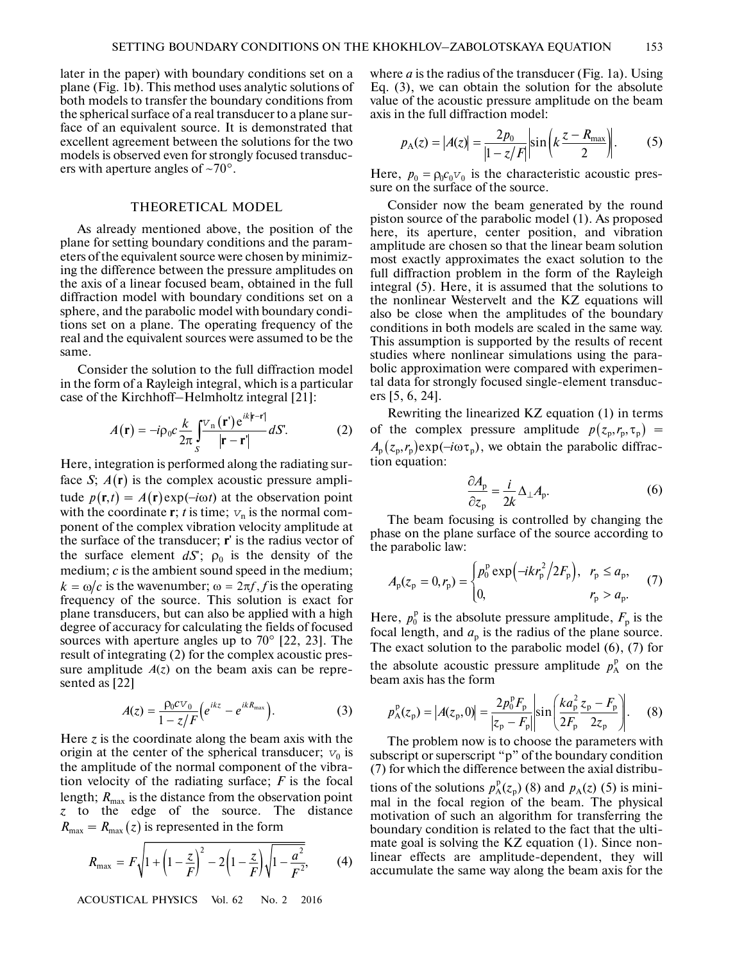later in the paper) with boundary conditions set on a plane (Fig. 1b). This method uses analytic solutions of both models to transfer the boundary conditions from the spherical surface of a real transducer to a plane sur face of an equivalent source. It is demonstrated that excellent agreement between the solutions for the two models is observed even for strongly focused transduc ers with aperture angles of  $\sim 70^{\circ}$ .

# THEORETICAL MODEL

As already mentioned above, the position of the plane for setting boundary conditions and the param eters of the equivalent source were chosen by minimiz ing the difference between the pressure amplitudes on the axis of a linear focused beam, obtained in the full diffraction model with boundary conditions set on a sphere, and the parabolic model with boundary condi tions set on a plane. The operating frequency of the real and the equivalent sources were assumed to be the same.

Consider the solution to the full diffraction model in the form of a Rayleigh integral, which is a particular case of the Kirchhoff–Helmholtz integral [21]: fr the solution to the fund<br>
of a Rayleigh integral, wh<br>
Kirchhoff–Helmholtz int<br>  $(\mathbf{r}) = -i\rho_0 c \frac{k}{\delta} \int_0^{\frac{V_n}{\delta}} (\mathbf{r}) e^{ik|\mathbf{r}|}$ 

$$
A(\mathbf{r}) = -i\rho_0 c \frac{k}{2\pi} \int_S \frac{\nabla_n(\mathbf{r}) e^{ik|\mathbf{r}-\mathbf{r}|}}{|\mathbf{r}-\mathbf{r}'|} dS'. \tag{2}
$$

Here, integration is performed along the radiating sur face S;  $A(r)$  is the complex acoustic pressure amplitude  $p(\mathbf{r},t) = A(\mathbf{r}) \exp(-i\omega t)$  at the observation point with the coordinate **r**; *t* is time;  $v_n$  is the normal component of the complex vibration velocity amplitude at the surface of the transducer; **r**' is the radius vector of the surface element  $dS$ ;  $\rho_0$  is the density of the medium; *c* is the ambient sound speed in the medium;  $k = \omega/c$  is the amount sound speed in the medium;<br> $k = \omega/c$  is the wavenumber;  $\omega = 2\pi f$ , *f* is the operating frequency of the source. This solution is exact for plane transducers, but can also be applied with a high degree of accuracy for calculating the fields of focused sources with aperture angles up to 70° [22, 23]. The result of integrating (2) for the complex acoustic pres sure amplitude  $A(z)$  on the beam axis can be represented as [22] *A*(**r**) =  $-i\rho_0 c \frac{\kappa}{2\pi} \int_{S}^{\nu} \frac{\hbar}{2\pi}$ <br>*p*; *A*(**r**) is the complex  $p(\mathbf{r}, t) = A(\mathbf{r}) \exp(-i\omega t)$ 

$$
A(z) = \frac{\rho_0 c v_0}{1 - z/F} \Big(e^{ikz} - e^{ikR_{\text{max}}}\Big).
$$
 (3)

Here  $\zeta$  is the coordinate along the beam axis with the origin at the center of the spherical transducer;  $v_0$  is the amplitude of the normal component of the vibra tion velocity of the radiating surface; *F* is the focal length;  $R_{\text{max}}$  is the distance from the observation point *z* to the edge of the source. The distance  $R_{\text{max}} = R_{\text{max}}(z)$  is represented in the form

$$
R_{\text{max}} = F\sqrt{1 + \left(1 - \frac{z}{F}\right)^2 - 2\left(1 - \frac{z}{F}\right)\sqrt{1 - \frac{a^2}{F^2}}},\qquad(4)
$$

ACOUSTICAL PHYSICS Vol. 62 No. 2 2016

where *a* is the radius of the transducer (Fig. 1a). Using Eq. (3), we can obtain the solution for the absolute value of the acoustic pressure amplitude on the beam axis in the full diffraction model:

$$
p_{A}(z) = |A(z)| = \frac{2p_{0}}{|1 - z/F|} \sin\left(k\frac{z - R_{\text{max}}}{2}\right).
$$
 (5)

Here,  $p_0 = \rho_0 c_0 v_0$  is the characteristic acoustic pres-<br>sure on the surface of the source.  $p_0 = \rho_0 c_0 v_0$ 

Consider now the beam generated by the round piston source of the parabolic model (1). As proposed here, its aperture, center position, and vibration amplitude are chosen so that the linear beam solution most exactly approximates the exact solution to the full diffraction problem in the form of the Rayleigh integral (5). Here, it is assumed that the solutions to the nonlinear Westervelt and the KZ equations will also be close when the amplitudes of the boundary conditions in both models are scaled in the same way. This assumption is supported by the results of recent studies where nonlinear simulations using the para bolic approximation were compared with experimen tal data for strongly focused single-element transduc ers [5, 6, 24].

Rewriting the linearized KZ equation (1) in terms of the complex pressure amplitude  $p(z_p, r_p, \tau_p)$  = we obtain the parabolic diffrac tion equation: *A*<sub>p</sub> (*x*<sub>p</sub> ), *A*<sub>p</sub> (*x*<sub>p</sub> ), *A*<sub>p</sub> (*x*<sub>p</sub>, *P*<sub>p</sub>), *A*<sub>p</sub> (*z*<sub>p</sub>, *P*<sub>p</sub>),

$$
\frac{\partial A_{\rm p}}{\partial z_{\rm p}} = \frac{i}{2k} \Delta_{\perp} A_{\rm p}.
$$
 (6)

The beam focusing is controlled by changing the phase on the plane surface of the source according to the parabolic law:

$$
A_{p}(z_{p} = 0, r_{p}) = \begin{cases} p_{0}^{p} \exp(-ikr_{p}^{2}/2F_{p}), & r_{p} \le a_{p}, \\ 0, & r_{p} > a_{p}. \end{cases}
$$
 (7)

Here,  $p_0^p$  is the absolute pressure amplitude,  $F_p$  is the focal length, and  $a_p$  is the radius of the plane source. The exact solution to the parabolic model (6), (7) for the absolute acoustic pressure amplitude  $p_A^p$  on the beam axis has the form

$$
p_A^{\rm p}(z_{\rm p}) = |A(z_{\rm p}, 0)| = \frac{2p_0^{\rm p}F_{\rm p}}{|z_{\rm p} - F_{\rm p}|} \sin\left(\frac{k a_{\rm p}^2 z_{\rm p} - F_{\rm p}}{2F_{\rm p}}\right). \tag{8}
$$

The problem now is to choose the parameters with subscript or superscript "p" of the boundary condition (7) for which the difference between the axial distribu tions of the solutions  $p_A^p(z_p)$  (8) and  $p_A(z)$  (5) is minimal in the focal region of the beam. The physical motivation of such an algorithm for transferring the boundary condition is related to the fact that the ulti mate goal is solving the KZ equation (1). Since non linear effects are amplitude-dependent, they will accumulate the same way along the beam axis for the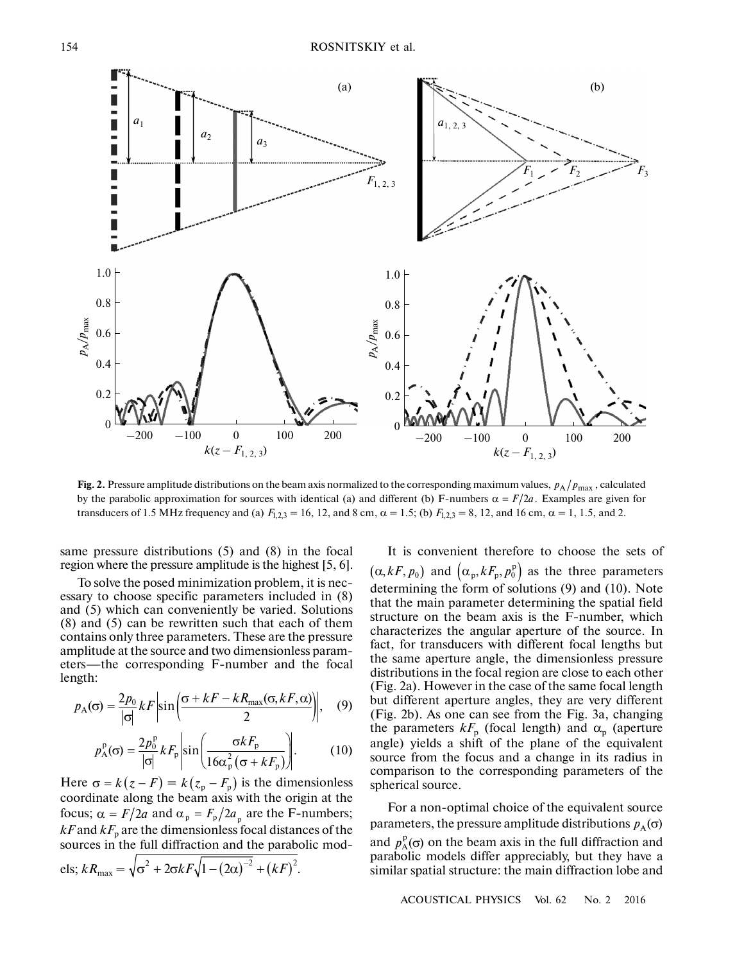

Fig. 2. Pressure amplitude distributions on the beam axis normalized to the corresponding maximum values,  $p_A/p_{\text{max}}$ , calculated by the parabolic approximation for sources with identical (a) and different (b) F-numbers  $\alpha = F/2a$ . Examples are given for transducers of 1.5 MHz frequency and (a)  $F_{1,2,3} = 16$ , 12, and 8 cm,  $\alpha = 1.5$ ; (b)  $F_{1,2,3} = 8$ , 12, and 16 cm,  $\alpha = 1$ , 1.5, and 2.

same pressure distributions (5) and (8) in the focal region where the pressure amplitude is the highest [5, 6].

To solve the posed minimization problem, it is nec essary to choose specific parameters included in (8) and (5) which can conveniently be varied. Solutions (8) and (5) can be rewritten such that each of them contains only three parameters. These are the pressure amplitude at the source and two dimensionless param eters—the corresponding F-number and the focal length:

$$
p_{A}(\sigma) = \frac{2p_0}{|\sigma|} kF \left| \sin \left( \frac{\sigma + kF - kR_{\text{max}}(\sigma, kF, \alpha)}{2} \right) \right|, \quad (9)
$$

$$
p_A(\sigma) = \frac{2p_0^p}{|\sigma|} kF_p \left| \sin\left(\frac{\sigma kF_p}{16\alpha_p^2(\sigma + kF_p)}\right) \right|.
$$
 (10)  
Here  $\sigma = k(z - F) = k(z_p - F_p)$  is the dimensionless

coordinate along the beam axis with the origin at the focus;  $\alpha = F/2a$  and  $\alpha_p = F_p/2a_p$  are the F-numbers;  $kF$  and  $kF$ <sub>p</sub> are the dimensionless focal distances of the sources in the full diffraction and the parabolic mod fraction  $kF_p$  are the dimensionless focal distans<br>sources in the full diffraction and the parabotels;  $kR_{\text{max}} = \sqrt{\sigma^2 + 2\sigma kF \sqrt{1 - (2\alpha)^{-2} + (kF)^2}}$ .

It is convenient therefore to choose the sets of  $(\alpha, kF, p_0)$  and  $(\alpha_p, kF_p, p_0^p)$  as the three parameters determining the form of solutions (9) and (10). Note that the main parameter determining the spatial field structure on the beam axis is the F-number, which characterizes the angular aperture of the source. In fact, for transducers with different focal lengths but the same aperture angle, the dimensionless pressure distributions in the focal region are close to each other (Fig. 2a). However in the case of the same focal length but different aperture angles, they are very different (Fig. 2b). As one can see from the Fig. 3a, changing the parameters  $kF_p$  (focal length) and  $\alpha_p$  (aperture angle) yields a shift of the plane of the equivalent source from the focus and a change in its radius in comparison to the corresponding parameters of the spherical source.

For a non-optimal choice of the equivalent source parameters, the pressure amplitude distributions  $p_{\rm A}(\sigma)$ and  $p_A^{\rm p}(\sigma)$  on the beam axis in the full diffraction and parabolic models differ appreciably, but they have a similar spatial structure: the main diffraction lobe and

ACOUSTICAL PHYSICS Vol. 62 No. 2 2016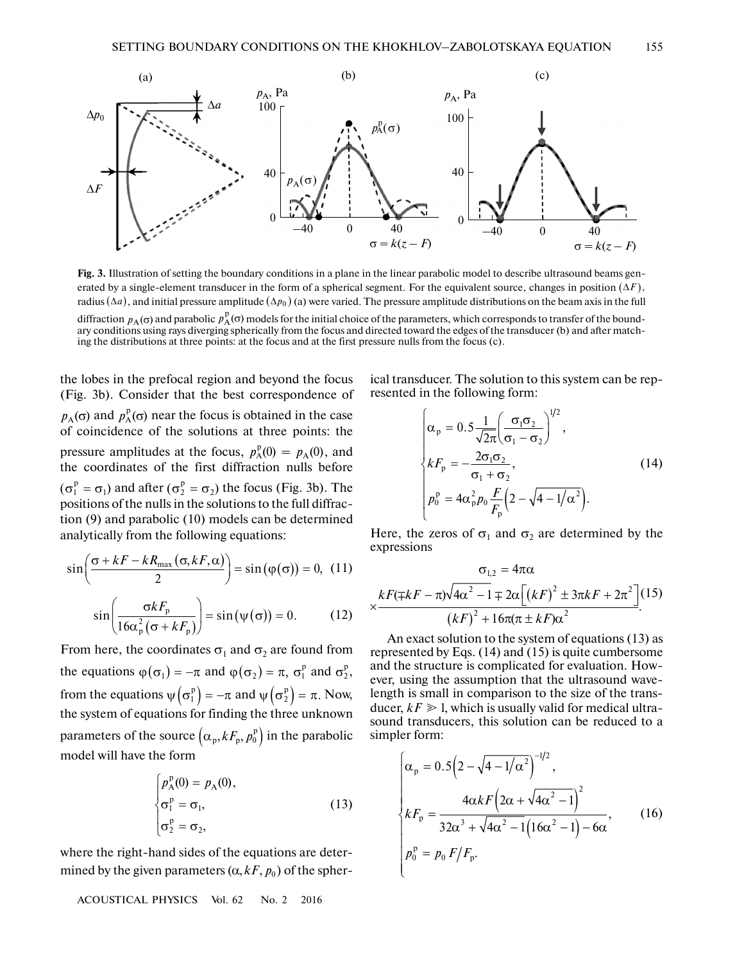

**Fig. 3.** Illustration of setting the boundary conditions in a plane in the linear parabolic model to describe ultrasound beams gen erated by a single-element transducer in the form of a spherical segment. For the equivalent source, changes in position  $(\Delta F)$ , radius  $(\Delta a)$ , and initial pressure amplitude  $(\Delta p_0)$  (a) were varied. The pressure amplitude distributions on the beam axis in the full

diffraction  $p_A(\sigma)$  and parabolic  $p_A^p(\sigma)$  models for the initial choice of the parameters, which corresponds to transfer of the boundary conditions using rays diverging spherically from the focus and directed toward the edges of the transducer (b) and after match ing the distributions at three points: at the focus and at the first pressure nulls from the focus (c).

the lobes in the prefocal region and beyond the focus (Fig. 3b). Consider that the best correspondence of  $p_A(\sigma)$  and  $p_A^p(\sigma)$  near the focus is obtained in the case of coincidence of the solutions at three points: the pressure amplitudes at the focus,  $p_A^p(0) = p_A(0)$ , and the coordinates of the first diffraction nulls before  $(\sigma_1^p = \sigma_1)$  and after  $(\sigma_2^p = \sigma_2)$  the focus (Fig. 3b). The positions of the nulls in the solutions to the full diffraction (9) and parabolic (10) models can be determined analytically from the following equations:

$$
\sin\left(\frac{\sigma + kF - kR_{\text{max}}(\sigma, kF, \alpha)}{2}\right) = \sin(\varphi(\sigma)) = 0, \quad (11)
$$

$$
\sin\left(\frac{\sigma k F_{\rm p}}{16\alpha_{\rm p}^2(\sigma + k F_{\rm p})}\right) = \sin(\psi(\sigma)) = 0. \tag{12}
$$

From here, the coordinates  $\sigma_1$  and  $\sigma_2$  are found from the equations  $\varphi(\sigma_1) = -\pi$  and  $\varphi(\sigma_2) = \pi$ ,  $\sigma_1^p$  and  $\sigma_2^p$ , from the equations  $\psi(\sigma_1^p) = -\pi$  and  $\psi(\sigma_2^p) = \pi$ . Now, the system of equations for finding the three unknown parameters of the source  $\left(\alpha_p, kF_p, p_0^{\mathrm{p}}\right)$  in the parabolic model will have the form

$$
\begin{cases}\np_A^p(0) = p_A(0), \\
\sigma_1^p = \sigma_1, \\
\sigma_2^p = \sigma_2,\n\end{cases}
$$
\n(13)

where the right-hand sides of the equations are deter mined by the given parameters  $(\alpha, kF, p_0)$  of the spher-

ACOUSTICAL PHYSICS Vol. 62 No. 2 2016

ical transducer. The solution to this system can be rep resented in the following form:

$$
\begin{cases}\n\alpha_{\rm p} = 0.5 \frac{1}{\sqrt{2\pi}} \left( \frac{\sigma_1 \sigma_2}{\sigma_1 - \sigma_2} \right)^{1/2}, \\
kF_{\rm p} = -\frac{2\sigma_1 \sigma_2}{\sigma_1 + \sigma_2}, \\
p_0^{\rm p} = 4\alpha_{\rm p}^2 p_0 \frac{F}{F_{\rm p}} \left( 2 - \sqrt{4 - 1/\alpha^2} \right).\n\end{cases} (14)
$$

Here, the zeros of  $\sigma_1$  and  $\sigma_2$  are determined by the expressions

$$
\sigma_{1,2} = 4\pi\alpha
$$
  

$$
\times \frac{kF(\mp kF - \pi)\sqrt{4\alpha^2 - 1} \mp 2\alpha \left[ (kF)^2 \pm 3\pi kF + 2\pi^2 \right]}{(kF)^2 + 16\pi(\pi \pm kF)\alpha^2}.
$$
 (15)

An exact solution to the system of equations (13) as represented by Eqs. (14) and (15) is quite cumbersome and the structure is complicated for evaluation. How ever, using the assumption that the ultrasound wave length is small in comparison to the size of the trans ducer,  $kF \geq 1$ , which is usually valid for medical ultrasound transducers, this solution can be reduced to a simpler form:

$$
\begin{cases}\n\alpha_{\rm p} = 0.5\left(2 - \sqrt{4 - 1/\alpha^2}\right)^{-1/2}, \\
kF_{\rm p} = \frac{4\alpha kF\left(2\alpha + \sqrt{4\alpha^2 - 1}\right)^2}{32\alpha^3 + \sqrt{4\alpha^2 - 1}\left(16\alpha^2 - 1\right) - 6\alpha}, \\
p_0^{\rm p} = p_0 F/F_{\rm p}.\n\end{cases} (16)
$$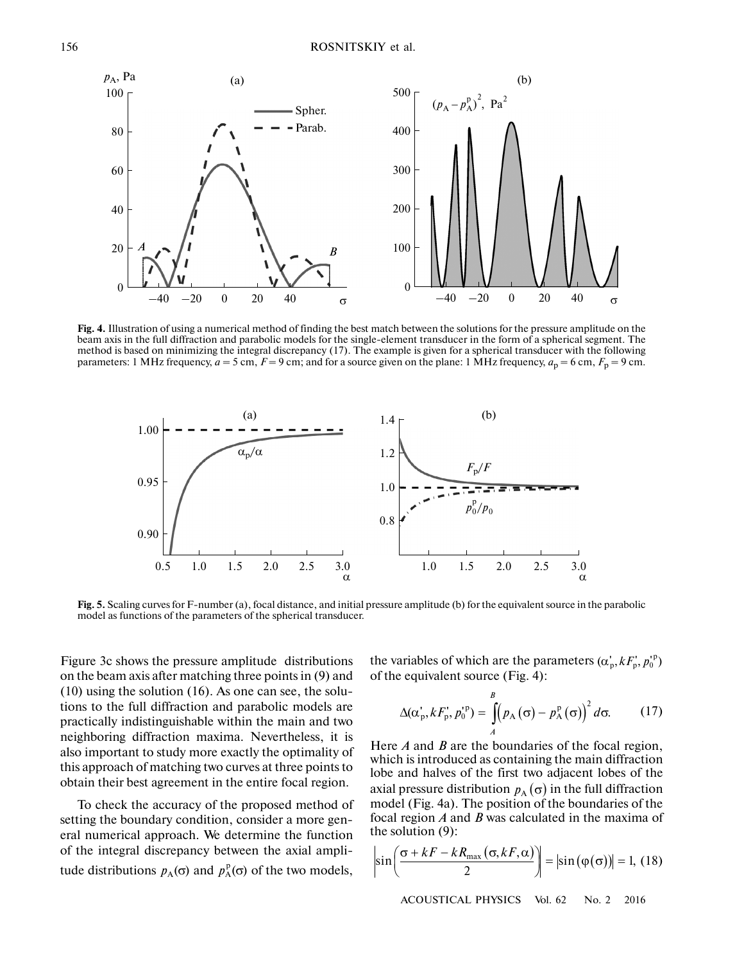

**Fig. 4.** Illustration of using a numerical method of finding the best match between the solutions for the pressure amplitude on the beam axis in the full diffraction and parabolic models for the single-element transducer in the form of a spherical segment. The method is based on minimizing the integral discrepancy (17). The example is given for a spherical transducer with the following parameters: 1 MHz frequency,  $a = 5$  cm,  $F = 9$  cm; and for a source given on the plane: 1 MHz frequency,  $a_p = 6$  cm,  $F_p = 9$  cm.



Fig. 5. Scaling curves for F-number (a), focal distance, and initial pressure amplitude (b) for the equivalent source in the parabolic model as functions of the parameters of the spherical transducer.

Figure 3c shows the pressure amplitude 1 distributions on the beam axis after matching three points in (9) and (10) using the solution (16). As one can see, the solu tions to the full diffraction and parabolic models are practically indistinguishable within the main and two neighboring diffraction maxima. Nevertheless, it is also important to study more exactly the optimality of this approach of matching two curves at three points to obtain their best agreement in the entire focal region.

To check the accuracy of the proposed method of setting the boundary condition, consider a more gen eral numerical approach. We determine the function of the integral discrepancy between the axial ampli tude distributions  $p_A(σ)$  and  $p_A^p(σ)$  of the two models,

the variables of which are the parameters  $(\alpha_p, kF_p, p_0^{\text{p}})$ of the equivalent source (Fig. 4):

$$
\Delta(\alpha_p, kF_p, p_0^{p}) = \int_A^B (p_A(\sigma) - p_A^p(\sigma))^2 d\sigma.
$$
 (17)

Here *A* and *B* are the boundaries of the focal region, which is introduced as containing the main diffraction lobe and halves of the first two adjacent lobes of the axial pressure distribution  $p_{\rm A}(\sigma)$  in the full diffraction model (Fig. 4a). The position of the boundaries of the focal region *A* and *B* was calculated in the maxima of the solution (9):

$$
\left|\sin\left(\frac{\sigma + kF - kR_{\max}(\sigma, kF, \alpha)}{2}\right)\right| = \left|\sin(\varphi(\sigma))\right| = 1, (18)
$$

ACOUSTICAL PHYSICS Vol. 62 No. 2 2016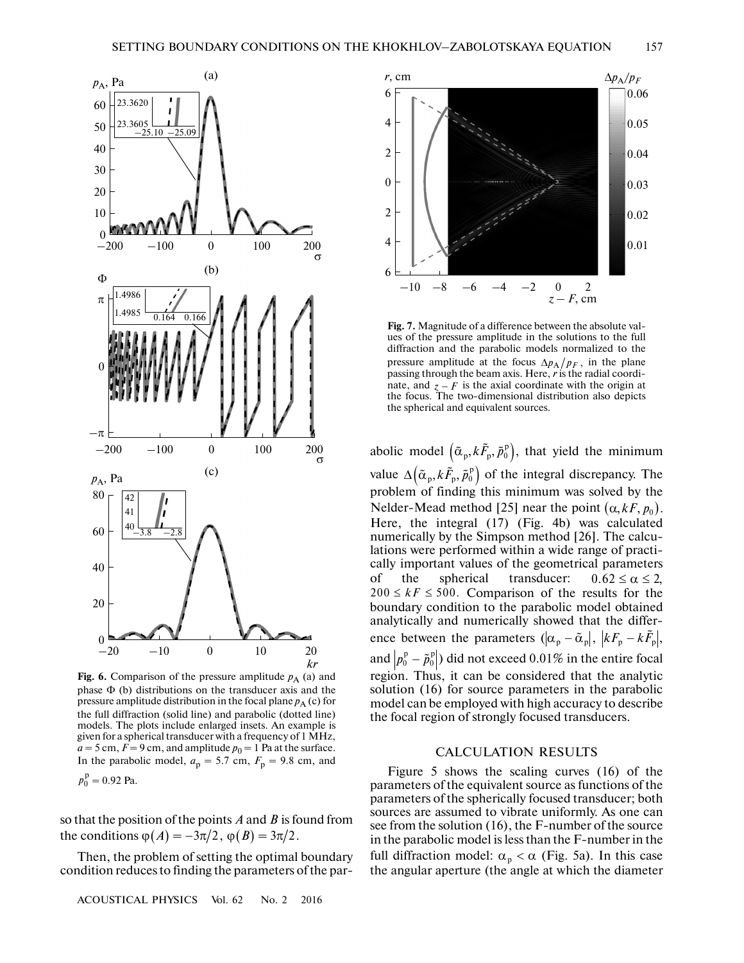

**Fig. 6.** Comparison of the pressure amplitude  $p_A$  (a) and phase Φ (b) distributions on the transducer axis and the pressure amplitude distribution in the focal plane  $p_A$  (c) for the full diffraction (solid line) and parabolic (dotted line) models. The plots include enlarged insets. An example is given for a spherical transducer with a frequency of 1 MHz,  $a = 5$  cm,  $F = 9$  cm, and amplitude  $p_0 = 1$  Pa at the surface. In the parabolic model,  $a_p = 5.7$  cm,  $F_p = 9.8$  cm, and

 $p_0^{\rm p} = 0.92$  Pa.

so that the position of the points  $A$  and  $B$  is found from the parabolic model,  $a_p = 3.7$  cm,  $I_p = 9.3$ ,<br>  $p_0^p = 0.92$  Pa.<br>
so that the position of the points *A* and *B* is for<br>
the conditions  $\varphi(A) = -3\pi/2$ ,  $\varphi(B) = 3\pi/2$ .

Then, the problem of setting the optimal boundary condition reduces to finding the parameters of the par-

ACOUSTICAL PHYSICS Vol. 62 No. 2 2016



passing unough the beam axis. Here, *r* is the radial coordinate, and  $z - F$  is the axial coordinate with the origin at the focus. The two-dimensional distribution also depicts the spherical and equivalent sources. mate, and  $z - F$  is the axial coordinate with the origin at<br>the focus. The two-dimensional distribution also depicts<br>the spherical and equivalent sources. **Fig. 7.** Magnitude of a difference between the absolute val ues of the pressure amplitude in the solutions to the full diffraction and the parabolic models normalized to the pressure amplitude at the focus  $\Delta p_A / p_F$ , in the plane passing through the beam axis. Here, *r* is the radial coordi the focus. The two-dimensional distribution also depicts the spherical and equivalent sources. gintu<br>press<br>and<br>mplit<br>cough<br> $z - F$ 

value  $\Delta(\tilde{\alpha}_p, k\tilde{F}_p, \tilde{p}_0^p)$  of the integral discrepancy. The problem of finding this minimum was solved by the Nelder-Mead method [25] near the point  $(\alpha, kF, p_0)$ . Here, the integral (17) (Fig. 4b) was calculated numerically by the Simpson method [26]. The calcu lations were performed within a wide range of practi cally important values of the geometrical parameters of the spherical transducer:  $200 \leq k \leq 500$ . Comparison of the results for the boundary condition to the parabolic model obtained analytically and numerically showed that the differ cally important values of the geometrical parameters<br>of the spherical transducer:  $0.62 \le \alpha \le 2$ ,<br> $200 \le kF \le 500$ . Comparison of the results for the<br>boundary condition to the parabolic model obtained<br>analytically and nume and  $\left|p^{\mathrm{p}}_0-\tilde{p}^{\mathrm{p}}_0\right|$  ) did not exceed  $0.01\%$  in the entire focal region. Thus, it can be considered that the analytic solution (16) for source parameters in the parabolic model can be employed with high accuracy to describe the focal region of strongly focused transducers. spherical and equ<br>
model  $(\tilde{\alpha}_p, k)$ <br>  $\Delta(\tilde{\alpha}_p, k \tilde{F}_p, \tilde{p}_0^p)$  $0.62 \leq \alpha \leq 2$ . α = 10<br>10<br>6 the solic mowed<br>10 α - - α α  $F \le$ ry d<br>ally<br>twe<br>-  $\tilde{p}$ 

## CALCULATION RESULTS

Figure 5 shows the scaling curves (16) of the parameters of the equivalent source as functions of the parameters of the spherically focused transducer; both sources are assumed to vibrate uniformly. As one can see from the solution (16), the F-number of the source in the parabolic model is less than the F-number in the full diffraction model:  $\alpha_p < \alpha$  (Fig. 5a). In this case the angular aperture (the angle at which the diameter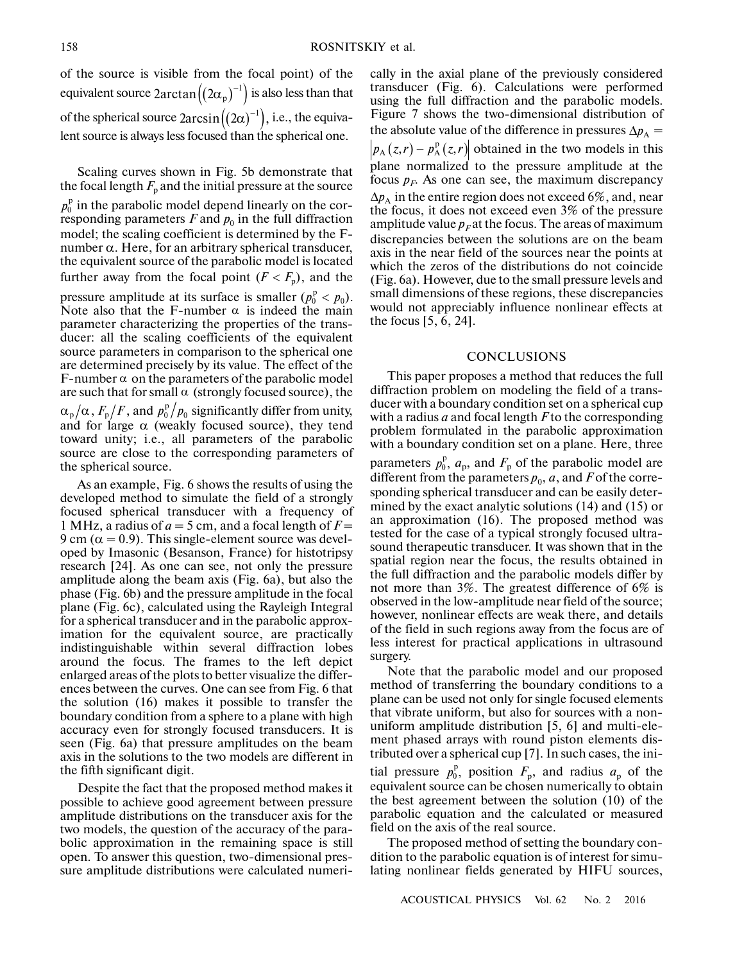of the source is visible from the focal point) of the FILM 158<br>
for the source is visible from the focal point) of the<br>
equivalent source  $2\arctan((2\alpha_p)^{-1})$  is also less than that of the spherical source  $2\arcsin((2\alpha)^{-1})$ , i.e., the equivalent source is always less focused than the spherical one. the foc<br>  $\binom{1}{p}^{-1}$  is a<br>  $\left(\left(2\alpha\right)^{-1}\right)$ 

Scaling curves shown in Fig. 5b demonstrate that the focal length  $F_p$  and the initial pressure at the source  $p_0^{\rm p}$  in the parabolic model depend linearly on the corresponding parameters  $F$  and  $p_0$  in the full diffraction model; the scaling coefficient is determined by the F number α. Here, for an arbitrary spherical transducer, the equivalent source of the parabolic model is located further away from the focal point  $(F < F_p)$ , and the pressure amplitude at its surface is smaller  $(p_0^p < p_0)$ . Note also that the F-number  $\alpha$  is indeed the main parameter characterizing the properties of the trans ducer: all the scaling coefficients of the equivalent source parameters in comparison to the spherical one are determined precisely by its value. The effect of the F-number  $\alpha$  on the parameters of the parabolic model are such that for small  $\alpha$  (strongly focused source), the , and  $p_0^{\rm p}/p_0$  significantly differ from unity, and for large  $\alpha$  (weakly focused source), they tend toward unity; i.e., all parameters of the parabolic source are close to the corresponding parameters of the spherical source.  $\alpha_{\rm p}/\alpha$  ,  $F_{\rm p}/F$  , and  $p_{\rm 0}^{\rm p}/p_{\rm 0}$ 

As an example, Fig. 6 shows the results of using the developed method to simulate the field of a strongly focused spherical transducer with a frequency of 1 MHz, a radius of  $a = 5$  cm, and a focal length of  $F =$  $9 \text{ cm } (\alpha = 0.9)$ . This single-element source was developed by Imasonic (Besanson, France) for histotripsy research [24]. As one can see, not only the pressure amplitude along the beam axis (Fig. 6a), but also the phase (Fig. 6b) and the pressure amplitude in the focal plane (Fig. 6c), calculated using the Rayleigh Integral for a spherical transducer and in the parabolic approx imation for the equivalent source, are practically indistinguishable within several diffraction lobes around the focus. The frames to the left depict enlarged areas of the plots to better visualize the differ ences between the curves. One can see from Fig. 6 that the solution (16) makes it possible to transfer the boundary condition from a sphere to a plane with high accuracy even for strongly focused transducers. It is seen (Fig. 6a) that pressure amplitudes on the beam axis in the solutions to the two models are different in the fifth significant digit.

Despite the fact that the proposed method makes it possible to achieve good agreement between pressure amplitude distributions on the transducer axis for the two models, the question of the accuracy of the para bolic approximation in the remaining space is still open. To answer this question, two-dimensional pres sure amplitude distributions were calculated numerically in the axial plane of the previously considered transducer (Fig. 6). Calculations were performed using the full diffraction and the parabolic models. Figure 7 shows the two-dimensional distribution of the absolute value of the difference in pressures  $\Delta p_A =$ cally in the axial plane of the previously considered<br>ransducer (Fig. 6). Calculations were performed<br>using the full diffraction and the parabolic models.<br>Figure 7 shows the two-dimensional distribution of<br>the absolute va plane normalized to the pressure amplitude at the focus  $p_F$ . As one can see, the maximum discrepancy  $\Delta p_A$  in the entire region does not exceed 6%, and, near the focus, it does not exceed even 3% of the pressure amplitude value  $p_F$  at the focus. The areas of maximum discrepancies between the solutions are on the beam axis in the near field of the sources near the points at which the zeros of the distributions do not coincide (Fig. 6a). However, due to the small pressure levels and small dimensions of these regions, these discrepancies would not appreciably influence nonlinear effects at the focus [5, 6, 24].

#### **CONCLUSIONS**

This paper proposes a method that reduces the full diffraction problem on modeling the field of a trans ducer with a boundary condition set on a spherical cup with a radius *a* and focal length *F* to the corresponding problem formulated in the parabolic approximation with a boundary condition set on a plane. Here, three parameters  $p_0^p$ ,  $a_p$ , and  $F_p$  of the parabolic model are different from the parameters  $p_0$ ,  $a$ , and  $F$  of the corresponding spherical transducer and can be easily deter mined by the exact analytic solutions (14) and (15) or an approximation (16). The proposed method was tested for the case of a typical strongly focused ultra sound therapeutic transducer. It was shown that in the spatial region near the focus, the results obtained in the full diffraction and the parabolic models differ by not more than 3%. The greatest difference of 6% is observed in the low-amplitude near field of the source; however, nonlinear effects are weak there, and details of the field in such regions away from the focus are of less interest for practical applications in ultrasound surgery.

Note that the parabolic model and our proposed method of transferring the boundary conditions to a plane can be used not only for single focused elements that vibrate uniform, but also for sources with a non uniform amplitude distribution [5, 6] and multi-ele ment phased arrays with round piston elements dis tributed over a spherical cup [7]. In such cases, the ini tial pressure  $p_0^p$ , position  $F_p$ , and radius  $a_p$  of the equivalent source can be chosen numerically to obtain the best agreement between the solution (10) of the parabolic equation and the calculated or measured field on the axis of the real source.

The proposed method of setting the boundary con dition to the parabolic equation is of interest for simu lating nonlinear fields generated by HIFU sources,